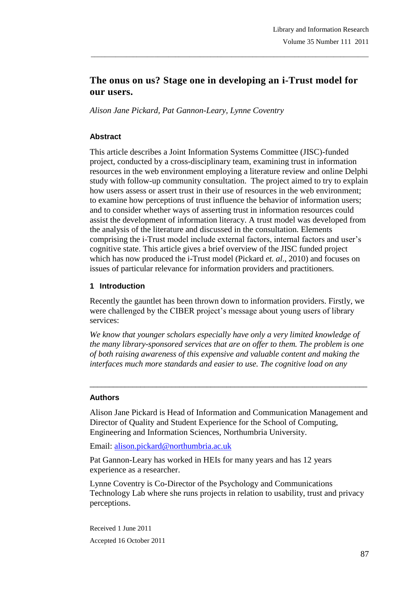# **The onus on us? Stage one in developing an i-Trust model for our users.**

\_\_\_\_\_\_\_\_\_\_\_\_\_\_\_\_\_\_\_\_\_\_\_\_\_\_\_\_\_\_\_\_\_\_\_\_\_\_\_\_\_\_\_\_\_\_\_\_\_\_\_\_\_\_\_\_\_\_\_\_\_\_\_\_\_\_\_\_\_\_\_\_\_\_\_\_\_\_\_

*Alison Jane Pickard, Pat Gannon-Leary, Lynne Coventry*

## **Abstract**

This article describes a Joint Information Systems Committee (JISC)-funded project, conducted by a cross-disciplinary team, examining trust in information resources in the web environment employing a literature review and online Delphi study with follow-up community consultation. The project aimed to try to explain how users assess or assert trust in their use of resources in the web environment; to examine how perceptions of trust influence the behavior of information users; and to consider whether ways of asserting trust in information resources could assist the development of information literacy. A trust model was developed from the analysis of the literature and discussed in the consultation. Elements comprising the i-Trust model include external factors, internal factors and user"s cognitive state. This article gives a brief overview of the JISC funded project which has now produced the i-Trust model (Pickard *et. al*., 2010) and focuses on issues of particular relevance for information providers and practitioners.

## **1 Introduction**

Recently the gauntlet has been thrown down to information providers. Firstly, we were challenged by the CIBER project's message about young users of library services:

*We know that younger scholars especially have only a very limited knowledge of the many library-sponsored services that are on offer to them. The problem is one of both raising awareness of this expensive and valuable content and making the interfaces much more standards and easier to use. The cognitive load on any* 

\_\_\_\_\_\_\_\_\_\_\_\_\_\_\_\_\_\_\_\_\_\_\_\_\_\_\_\_\_\_\_\_\_\_\_\_\_\_\_\_\_\_\_\_\_\_\_\_\_\_\_\_\_\_\_\_\_\_\_\_\_\_\_\_\_\_\_\_\_\_\_

## **Authors**

Alison Jane Pickard is Head of Information and Communication Management and Director of Quality and Student Experience for the School of Computing, Engineering and Information Sciences, Northumbria University.

Email: alison.pickard@northumbria.ac.uk

Pat Gannon-Leary has worked in HEIs for many years and has 12 years experience as a researcher.

Lynne Coventry is Co-Director of the Psychology and Communications Technology Lab where she runs projects in relation to usability, trust and privacy perceptions.

Received 1 June 2011 Accepted 16 October 2011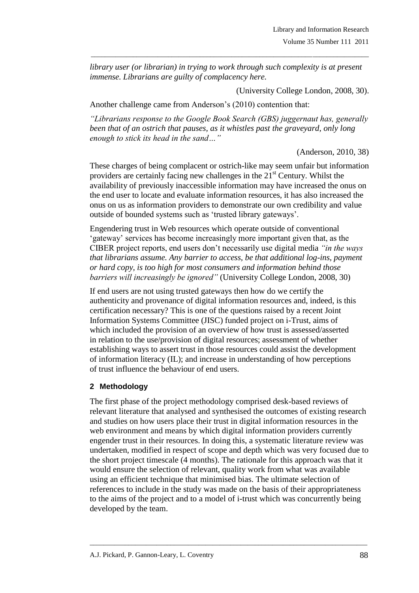*library user (or librarian) in trying to work through such complexity is at present immense. Librarians are guilty of complacency here.*

\_\_\_\_\_\_\_\_\_\_\_\_\_\_\_\_\_\_\_\_\_\_\_\_\_\_\_\_\_\_\_\_\_\_\_\_\_\_\_\_\_\_\_\_\_\_\_\_\_\_\_\_\_\_\_\_\_\_\_\_\_\_\_\_\_\_\_\_\_\_\_\_\_\_\_\_\_\_\_

(University College London, 2008, 30).

Another challenge came from Anderson"s (2010) contention that:

*"Librarians response to the Google Book Search (GBS) juggernaut has, generally been that of an ostrich that pauses, as it whistles past the graveyard, only long enough to stick its head in the sand…"*

(Anderson, 2010, 38)

These charges of being complacent or ostrich-like may seem unfair but information providers are certainly facing new challenges in the  $21<sup>st</sup>$  Century. Whilst the availability of previously inaccessible information may have increased the onus on the end user to locate and evaluate information resources, it has also increased the onus on us as information providers to demonstrate our own credibility and value outside of bounded systems such as "trusted library gateways".

Engendering trust in Web resources which operate outside of conventional "gateway" services has become increasingly more important given that, as the CIBER project reports, end users don"t necessarily use digital media *"in the ways that librarians assume. Any barrier to access, be that additional log-ins, payment or hard copy, is too high for most consumers and information behind those barriers will increasingly be ignored"* (University College London, 2008, 30)

If end users are not using trusted gateways then how do we certify the authenticity and provenance of digital information resources and, indeed, is this certification necessary? This is one of the questions raised by a recent Joint Information Systems Committee (JISC) funded project on i-Trust, aims of which included the provision of an overview of how trust is assessed/asserted in relation to the use/provision of digital resources; assessment of whether establishing ways to assert trust in those resources could assist the development of information literacy (IL); and increase in understanding of how perceptions of trust influence the behaviour of end users.

## **2 Methodology**

The first phase of the project methodology comprised desk-based reviews of relevant literature that analysed and synthesised the outcomes of existing research and studies on how users place their trust in digital information resources in the web environment and means by which digital information providers currently engender trust in their resources. In doing this, a systematic literature review was undertaken, modified in respect of scope and depth which was very focused due to the short project timescale (4 months). The rationale for this approach was that it would ensure the selection of relevant, quality work from what was available using an efficient technique that minimised bias. The ultimate selection of references to include in the study was made on the basis of their appropriateness to the aims of the project and to a model of i-trust which was concurrently being developed by the team.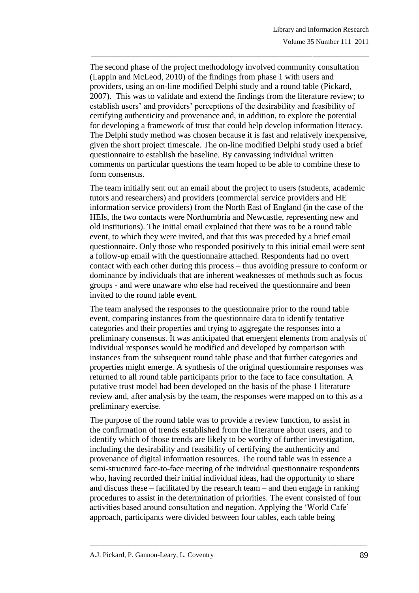The second phase of the project methodology involved community consultation (Lappin and McLeod, 2010) of the findings from phase 1 with users and providers, using an on-line modified Delphi study and a round table (Pickard, 2007). This was to validate and extend the findings from the literature review; to establish users" and providers" perceptions of the desirability and feasibility of certifying authenticity and provenance and, in addition, to explore the potential for developing a framework of trust that could help develop information literacy. The Delphi study method was chosen because it is fast and relatively inexpensive, given the short project timescale. The on-line modified Delphi study used a brief questionnaire to establish the baseline. By canvassing individual written comments on particular questions the team hoped to be able to combine these to form consensus.

\_\_\_\_\_\_\_\_\_\_\_\_\_\_\_\_\_\_\_\_\_\_\_\_\_\_\_\_\_\_\_\_\_\_\_\_\_\_\_\_\_\_\_\_\_\_\_\_\_\_\_\_\_\_\_\_\_\_\_\_\_\_\_\_\_\_\_\_\_\_\_\_\_\_\_\_\_\_\_

The team initially sent out an email about the project to users (students, academic tutors and researchers) and providers (commercial service providers and HE information service providers) from the North East of England (in the case of the HEIs, the two contacts were Northumbria and Newcastle, representing new and old institutions). The initial email explained that there was to be a round table event, to which they were invited, and that this was preceded by a brief email questionnaire. Only those who responded positively to this initial email were sent a follow-up email with the questionnaire attached. Respondents had no overt contact with each other during this process – thus avoiding pressure to conform or dominance by individuals that are inherent weaknesses of methods such as focus groups - and were unaware who else had received the questionnaire and been invited to the round table event.

The team analysed the responses to the questionnaire prior to the round table event, comparing instances from the questionnaire data to identify tentative categories and their properties and trying to aggregate the responses into a preliminary consensus. It was anticipated that emergent elements from analysis of individual responses would be modified and developed by comparison with instances from the subsequent round table phase and that further categories and properties might emerge. A synthesis of the original questionnaire responses was returned to all round table participants prior to the face to face consultation. A putative trust model had been developed on the basis of the phase 1 literature review and, after analysis by the team, the responses were mapped on to this as a preliminary exercise.

The purpose of the round table was to provide a review function, to assist in the confirmation of trends established from the literature about users, and to identify which of those trends are likely to be worthy of further investigation, including the desirability and feasibility of certifying the authenticity and provenance of digital information resources. The round table was in essence a semi-structured face-to-face meeting of the individual questionnaire respondents who, having recorded their initial individual ideas, had the opportunity to share and discuss these – facilitated by the research team – and then engage in ranking procedures to assist in the determination of priorities. The event consisted of four activities based around consultation and negation. Applying the "World Cafe" approach, participants were divided between four tables, each table being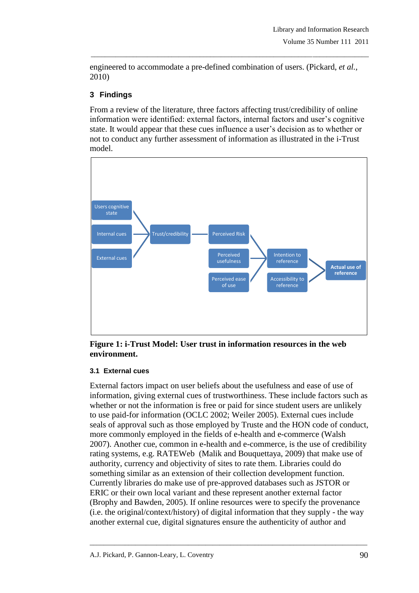engineered to accommodate a pre-defined combination of users. (Pickard, *et al.,* 2010)

\_\_\_\_\_\_\_\_\_\_\_\_\_\_\_\_\_\_\_\_\_\_\_\_\_\_\_\_\_\_\_\_\_\_\_\_\_\_\_\_\_\_\_\_\_\_\_\_\_\_\_\_\_\_\_\_\_\_\_\_\_\_\_\_\_\_\_\_\_\_\_\_\_\_\_\_\_\_\_

## **3 Findings**

From a review of the literature, three factors affecting trust/credibility of online information were identified: external factors, internal factors and user"s cognitive state. It would appear that these cues influence a user"s decision as to whether or not to conduct any further assessment of information as illustrated in the i-Trust model.



**Figure 1: i-Trust Model: User trust in information resources in the web environment.**

## **3.1 External cues**

External factors impact on user beliefs about the usefulness and ease of use of information, giving external cues of trustworthiness. These include factors such as whether or not the information is free or paid for since student users are unlikely to use paid-for information (OCLC 2002; Weiler 2005). External cues include seals of approval such as those employed by Truste and the HON code of conduct, more commonly employed in the fields of e-health and e-commerce (Walsh 2007). Another cue, common in e-health and e-commerce, is the use of credibility rating systems, e.g. RATEWeb (Malik and Bouquettaya, 2009) that make use of authority, currency and objectivity of sites to rate them. Libraries could do something similar as an extension of their collection development function. Currently libraries do make use of pre-approved databases such as JSTOR or ERIC or their own local variant and these represent another external factor (Brophy and Bawden, 2005). If online resources were to specify the provenance (i.e. the original/context/history) of digital information that they supply - the way another external cue, digital signatures ensure the authenticity of author and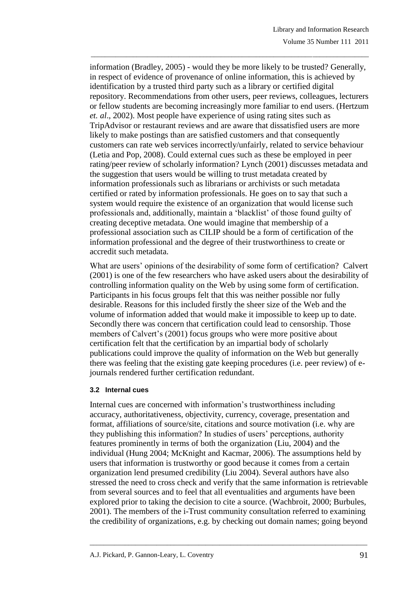information (Bradley, 2005) - would they be more likely to be trusted? Generally, in respect of evidence of provenance of online information, this is achieved by identification by a trusted third party such as a library or certified digital repository. Recommendations from other users, peer reviews, colleagues, lecturers or fellow students are becoming increasingly more familiar to end users. (Hertzum *et. al*., 2002). Most people have experience of using rating sites such as TripAdvisor or restaurant reviews and are aware that dissatisfied users are more likely to make postings than are satisfied customers and that consequently customers can rate web services incorrectly/unfairly, related to service behaviour (Letia and Pop, 2008). Could external cues such as these be employed in peer rating/peer review of scholarly information? Lynch (2001) discusses metadata and the suggestion that users would be willing to trust metadata created by information professionals such as librarians or archivists or such metadata certified or rated by information professionals. He goes on to say that such a system would require the existence of an organization that would license such professionals and, additionally, maintain a "blacklist" of those found guilty of creating deceptive metadata. One would imagine that membership of a professional association such as CILIP should be a form of certification of the information professional and the degree of their trustworthiness to create or accredit such metadata.

\_\_\_\_\_\_\_\_\_\_\_\_\_\_\_\_\_\_\_\_\_\_\_\_\_\_\_\_\_\_\_\_\_\_\_\_\_\_\_\_\_\_\_\_\_\_\_\_\_\_\_\_\_\_\_\_\_\_\_\_\_\_\_\_\_\_\_\_\_\_\_\_\_\_\_\_\_\_\_

What are users' opinions of the desirability of some form of certification? Calvert (2001) is one of the few researchers who have asked users about the desirability of controlling information quality on the Web by using some form of certification. Participants in his focus groups felt that this was neither possible nor fully desirable. Reasons for this included firstly the sheer size of the Web and the volume of information added that would make it impossible to keep up to date. Secondly there was concern that certification could lead to censorship. Those members of Calvert's (2001) focus groups who were more positive about certification felt that the certification by an impartial body of scholarly publications could improve the quality of information on the Web but generally there was feeling that the existing gate keeping procedures (i.e. peer review) of ejournals rendered further certification redundant.

#### **3.2 Internal cues**

Internal cues are concerned with information"s trustworthiness including accuracy, authoritativeness, objectivity, currency, coverage, presentation and format, affiliations of source/site, citations and source motivation (i.e. why are they publishing this information? In studies of users" perceptions, authority features prominently in terms of both the organization (Liu, 2004) and the individual (Hung 2004; McKnight and Kacmar, 2006). The assumptions held by users that information is trustworthy or good because it comes from a certain organization lend presumed credibility (Liu 2004). Several authors have also stressed the need to cross check and verify that the same information is retrievable from several sources and to feel that all eventualities and arguments have been explored prior to taking the decision to cite a source. (Wachbroit, 2000; Burbules, 2001). The members of the i-Trust community consultation referred to examining the credibility of organizations, e.g. by checking out domain names; going beyond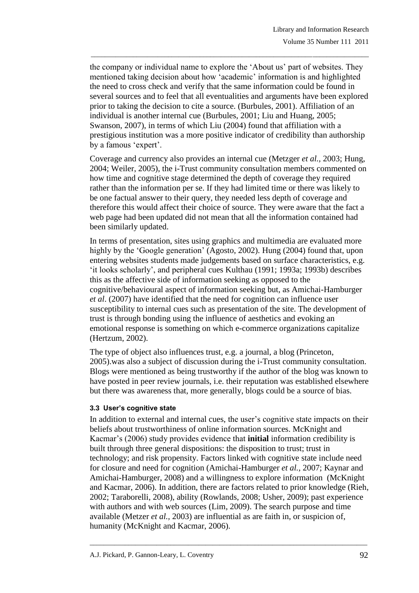the company or individual name to explore the "About us" part of websites. They mentioned taking decision about how "academic" information is and highlighted the need to cross check and verify that the same information could be found in several sources and to feel that all eventualities and arguments have been explored prior to taking the decision to cite a source. (Burbules, 2001). Affiliation of an individual is another internal cue (Burbules, 2001; Liu and Huang, 2005; Swanson, 2007), in terms of which Liu (2004) found that affiliation with a prestigious institution was a more positive indicator of credibility than authorship by a famous 'expert'.

\_\_\_\_\_\_\_\_\_\_\_\_\_\_\_\_\_\_\_\_\_\_\_\_\_\_\_\_\_\_\_\_\_\_\_\_\_\_\_\_\_\_\_\_\_\_\_\_\_\_\_\_\_\_\_\_\_\_\_\_\_\_\_\_\_\_\_\_\_\_\_\_\_\_\_\_\_\_\_

Coverage and currency also provides an internal cue (Metzger *et al.,* 2003; Hung, 2004; Weiler, 2005), the i-Trust community consultation members commented on how time and cognitive stage determined the depth of coverage they required rather than the information per se. If they had limited time or there was likely to be one factual answer to their query, they needed less depth of coverage and therefore this would affect their choice of source. They were aware that the fact a web page had been updated did not mean that all the information contained had been similarly updated.

In terms of presentation, sites using graphics and multimedia are evaluated more highly by the 'Google generation' (Agosto, 2002). Hung (2004) found that, upon entering websites students made judgements based on surface characteristics, e.g. "it looks scholarly", and peripheral cues Kulthau (1991; 1993a; 1993b) describes this as the affective side of information seeking as opposed to the cognitive/behavioural aspect of information seeking but, as Amichai-Hamburger *et al*. (2007) have identified that the need for cognition can influence user susceptibility to internal cues such as presentation of the site. The development of trust is through bonding using the influence of aesthetics and evoking an emotional response is something on which e-commerce organizations capitalize (Hertzum, 2002).

The type of object also influences trust, e.g. a journal, a blog (Princeton, 2005).was also a subject of discussion during the i-Trust community consultation. Blogs were mentioned as being trustworthy if the author of the blog was known to have posted in peer review journals, i.e. their reputation was established elsewhere but there was awareness that, more generally, blogs could be a source of bias.

#### **3.3 User's cognitive state**

In addition to external and internal cues, the user"s cognitive state impacts on their beliefs about trustworthiness of online information sources. McKnight and Kacmar"s (2006) study provides evidence that **initial** information credibility is built through three general dispositions: the disposition to trust; trust in technology; and risk propensity. Factors linked with cognitive state include need for closure and need for cognition (Amichai-Hamburger *et al.,* 2007; Kaynar and Amichai-Hamburger, 2008) and a willingness to explore information (McKnight and Kacmar, 2006). In addition, there are factors related to prior knowledge (Rieh, 2002; Taraborelli, 2008), ability (Rowlands, 2008; Usher, 2009); past experience with authors and with web sources (Lim, 2009). The search purpose and time available (Metzer *et al.,* 2003) are influential as are faith in, or suspicion of, humanity (McKnight and Kacmar, 2006).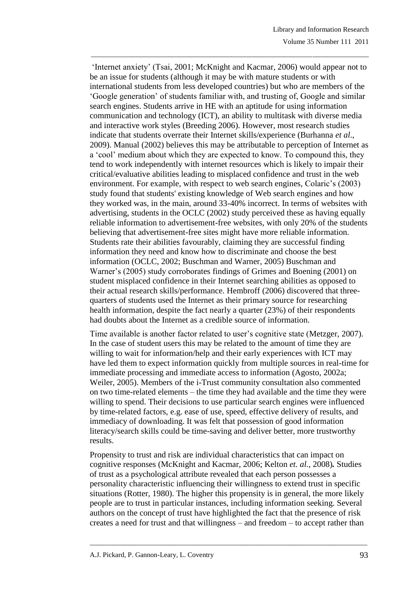"Internet anxiety" (Tsai, 2001; McKnight and Kacmar, 2006) would appear not to be an issue for students (although it may be with mature students or with international students from less developed countries) but who are members of the "Google generation" of students familiar with, and trusting of, Google and similar search engines. Students arrive in HE with an aptitude for using information communication and technology (ICT), an ability to multitask with diverse media and interactive work styles (Breeding 2006). However, most research studies indicate that students overrate their Internet skills/experience (Burhanna *et al*., 2009). Manual (2002) believes this may be attributable to perception of Internet as a "cool" medium about which they are expected to know. To compound this, they tend to work independently with internet resources which is likely to impair their critical/evaluative abilities leading to misplaced confidence and trust in the web environment. For example, with respect to web search engines, Colaric's (2003) study found that students' existing knowledge of Web search engines and how they worked was, in the main, around 33-40% incorrect. In terms of websites with advertising, students in the OCLC (2002) study perceived these as having equally reliable information to advertisement-free websites, with only 20% of the students believing that advertisement-free sites might have more reliable information. Students rate their abilities favourably, claiming they are successful finding information they need and know how to discriminate and choose the best information (OCLC, 2002; Buschman and Warner, 2005) Buschman and Warner's (2005) study corroborates findings of Grimes and Boening (2001) on student misplaced confidence in their Internet searching abilities as opposed to their actual research skills/performance. Hembroff (2006) discovered that threequarters of students used the Internet as their primary source for researching health information, despite the fact nearly a quarter (23%) of their respondents had doubts about the Internet as a credible source of information.

\_\_\_\_\_\_\_\_\_\_\_\_\_\_\_\_\_\_\_\_\_\_\_\_\_\_\_\_\_\_\_\_\_\_\_\_\_\_\_\_\_\_\_\_\_\_\_\_\_\_\_\_\_\_\_\_\_\_\_\_\_\_\_\_\_\_\_\_\_\_\_\_\_\_\_\_\_\_\_

Time available is another factor related to user's cognitive state (Metzger, 2007). In the case of student users this may be related to the amount of time they are willing to wait for information/help and their early experiences with ICT may have led them to expect information quickly from multiple sources in real-time for immediate processing and immediate access to information (Agosto, 2002a; Weiler, 2005). Members of the i-Trust community consultation also commented on two time-related elements – the time they had available and the time they were willing to spend. Their decisions to use particular search engines were influenced by time-related factors, e.g. ease of use, speed, effective delivery of results, and immediacy of downloading. It was felt that possession of good information literacy/search skills could be time-saving and deliver better, more trustworthy results.

Propensity to trust and risk are individual characteristics that can impact on cognitive responses (McKnight and Kacmar, 2006; Kelton *et. al.*, 2008)*.* Studies of trust as a psychological attribute revealed that each person possesses a personality characteristic influencing their willingness to extend trust in specific situations (Rotter, 1980). The higher this propensity is in general, the more likely people are to trust in particular instances, including information seeking. Several authors on the concept of trust have highlighted the fact that the presence of risk creates a need for trust and that willingness – and freedom – to accept rather than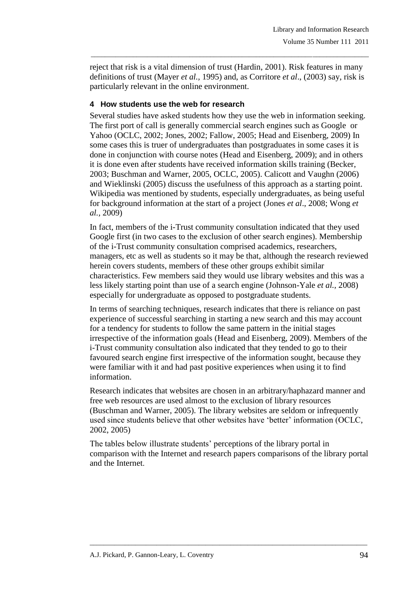reject that risk is a vital dimension of trust (Hardin, 2001). Risk features in many definitions of trust (Mayer *et al.,* 1995) and, as Corritore *et al*., (2003) say, risk is particularly relevant in the online environment.

\_\_\_\_\_\_\_\_\_\_\_\_\_\_\_\_\_\_\_\_\_\_\_\_\_\_\_\_\_\_\_\_\_\_\_\_\_\_\_\_\_\_\_\_\_\_\_\_\_\_\_\_\_\_\_\_\_\_\_\_\_\_\_\_\_\_\_\_\_\_\_\_\_\_\_\_\_\_\_

## **4 How students use the web for research**

Several studies have asked students how they use the web in information seeking. The first port of call is generally commercial search engines such as Google or Yahoo (OCLC, 2002; Jones, 2002; Fallow, 2005; Head and Eisenberg, 2009) In some cases this is truer of undergraduates than postgraduates in some cases it is done in conjunction with course notes (Head and Eisenberg, 2009); and in others it is done even after students have received information skills training (Becker, 2003; Buschman and Warner, 2005, OCLC, 2005). Calicott and Vaughn (2006) and Wieklinski (2005) discuss the usefulness of this approach as a starting point. Wikipedia was mentioned by students, especially undergraduates, as being useful for background information at the start of a project (Jones *et al*., 2008; Wong *et al.,* 2009)

In fact, members of the i-Trust community consultation indicated that they used Google first (in two cases to the exclusion of other search engines). Membership of the i-Trust community consultation comprised academics, researchers, managers, etc as well as students so it may be that, although the research reviewed herein covers students, members of these other groups exhibit similar characteristics. Few members said they would use library websites and this was a less likely starting point than use of a search engine (Johnson-Yale *et al.,* 2008) especially for undergraduate as opposed to postgraduate students.

In terms of searching techniques, research indicates that there is reliance on past experience of successful searching in starting a new search and this may account for a tendency for students to follow the same pattern in the initial stages irrespective of the information goals (Head and Eisenberg, 2009). Members of the i-Trust community consultation also indicated that they tended to go to their favoured search engine first irrespective of the information sought, because they were familiar with it and had past positive experiences when using it to find information.

Research indicates that websites are chosen in an arbitrary/haphazard manner and free web resources are used almost to the exclusion of library resources (Buschman and Warner, 2005). The library websites are seldom or infrequently used since students believe that other websites have "better" information (OCLC, 2002, 2005)

The tables below illustrate students" perceptions of the library portal in comparison with the Internet and research papers comparisons of the library portal and the Internet.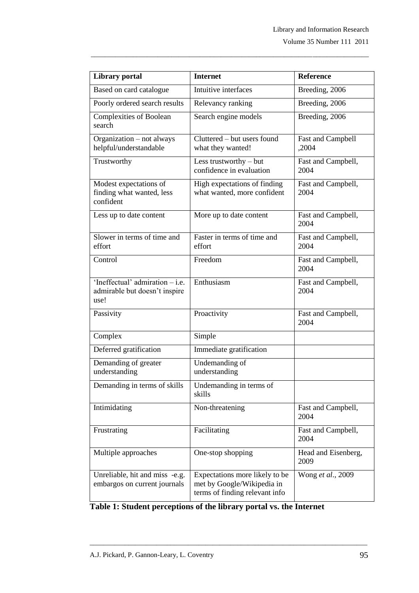| <b>Library</b> portal                                                      | <b>Internet</b>                                                                                | <b>Reference</b>            |
|----------------------------------------------------------------------------|------------------------------------------------------------------------------------------------|-----------------------------|
| Based on card catalogue                                                    | Intuitive interfaces                                                                           | Breeding, 2006              |
| Poorly ordered search results                                              | Relevancy ranking                                                                              | Breeding, 2006              |
| <b>Complexities of Boolean</b><br>search                                   | Search engine models                                                                           | Breeding, 2006              |
| Organization - not always<br>helpful/understandable                        | Cluttered – but users found<br>what they wanted!                                               | Fast and Campbell<br>,2004  |
| Trustworthy                                                                | Less trustworthy $-$ but<br>confidence in evaluation                                           | Fast and Campbell,<br>2004  |
| Modest expectations of<br>finding what wanted, less<br>confident           | High expectations of finding<br>what wanted, more confident                                    | Fast and Campbell,<br>2004  |
| Less up to date content                                                    | More up to date content                                                                        | Fast and Campbell,<br>2004  |
| Slower in terms of time and<br>effort                                      | Faster in terms of time and<br>effort                                                          | Fast and Campbell,<br>2004  |
| Control                                                                    | Freedom                                                                                        | Fast and Campbell,<br>2004  |
| 'Ineffectual' admiration $-$ i.e.<br>admirable but doesn't inspire<br>use! | Enthusiasm                                                                                     | Fast and Campbell,<br>2004  |
| Passivity                                                                  | Proactivity                                                                                    | Fast and Campbell,<br>2004  |
| Complex                                                                    | Simple                                                                                         |                             |
| Deferred gratification                                                     | Immediate gratification                                                                        |                             |
| Demanding of greater<br>understanding                                      | Undemanding of<br>understanding                                                                |                             |
| Demanding in terms of skills                                               | Undemanding in terms of<br>skills                                                              |                             |
| Intimidating                                                               | Non-threatening                                                                                | Fast and Campbell,<br>2004  |
| Frustrating                                                                | Facilitating                                                                                   | Fast and Campbell,<br>2004  |
| Multiple approaches                                                        | One-stop shopping                                                                              | Head and Eisenberg,<br>2009 |
| Unreliable, hit and miss -e.g.<br>embargos on current journals             | Expectations more likely to be<br>met by Google/Wikipedia in<br>terms of finding relevant info | Wong et al., 2009           |

\_\_\_\_\_\_\_\_\_\_\_\_\_\_\_\_\_\_\_\_\_\_\_\_\_\_\_\_\_\_\_\_\_\_\_\_\_\_\_\_\_\_\_\_\_\_\_\_\_\_\_\_\_\_\_\_\_\_\_\_\_\_\_\_\_\_\_\_\_\_\_\_\_\_\_\_\_\_\_

**Table 1: Student perceptions of the library portal vs. the Internet**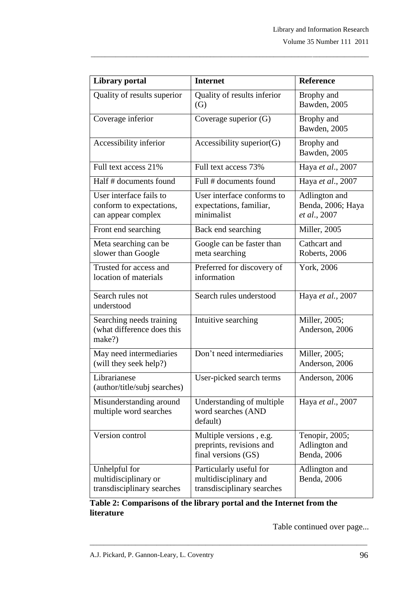| <b>Library portal</b>                                                     | <b>Internet</b>                                                                | <b>Reference</b>                                   |
|---------------------------------------------------------------------------|--------------------------------------------------------------------------------|----------------------------------------------------|
| Quality of results superior                                               | Quality of results inferior<br>(G)                                             | Brophy and<br>Bawden, 2005                         |
| Coverage inferior                                                         | Coverage superior (G)                                                          | Brophy and<br>Bawden, 2005                         |
| Accessibility inferior                                                    | Accessibility superior $(G)$                                                   | Brophy and<br>Bawden, 2005                         |
| Full text access 21%                                                      | Full text access 73%                                                           | Haya et al., 2007                                  |
| Half # documents found                                                    | Full # documents found                                                         | Haya et al., 2007                                  |
| User interface fails to<br>conform to expectations,<br>can appear complex | User interface conforms to<br>expectations, familiar,<br>minimalist            | Adlington and<br>Benda, 2006; Haya<br>et al., 2007 |
| Front end searching                                                       | Back end searching                                                             | Miller, 2005                                       |
| Meta searching can be<br>slower than Google                               | Google can be faster than<br>meta searching                                    | Cathcart and<br>Roberts, 2006                      |
| Trusted for access and<br>location of materials                           | Preferred for discovery of<br>information                                      | York, 2006                                         |
| Search rules not<br>understood                                            | Search rules understood                                                        | Haya et al., 2007                                  |
| Searching needs training<br>(what difference does this<br>make?)          | Intuitive searching                                                            | Miller, 2005;<br>Anderson, 2006                    |
| May need intermediaries<br>(will they seek help?)                         | Don't need intermediaries                                                      | Miller, 2005;<br>Anderson, 2006                    |
| Librarianese<br>(author/title/subj searches)                              | User-picked search terms                                                       | Anderson, 2006                                     |
| Misunderstanding around<br>multiple word searches                         | Understanding of multiple<br>word searches (AND<br>default)                    | Haya et al., 2007                                  |
| Version control                                                           | Multiple versions, e.g.<br>preprints, revisions and<br>final versions (GS)     | Tenopir, 2005;<br>Adlington and<br>Benda, 2006     |
| Unhelpful for<br>multidisciplinary or<br>transdisciplinary searches       | Particularly useful for<br>multidisciplinary and<br>transdisciplinary searches | Adlington and<br>Benda, 2006                       |

\_\_\_\_\_\_\_\_\_\_\_\_\_\_\_\_\_\_\_\_\_\_\_\_\_\_\_\_\_\_\_\_\_\_\_\_\_\_\_\_\_\_\_\_\_\_\_\_\_\_\_\_\_\_\_\_\_\_\_\_\_\_\_\_\_\_\_\_\_\_\_\_\_\_\_\_\_\_\_

**Table 2: Comparisons of the library portal and the Internet from the literature**

\_\_\_\_\_\_\_\_\_\_\_\_\_\_\_\_\_\_\_\_\_\_\_\_\_\_\_\_\_\_\_\_\_\_\_\_\_\_\_\_\_\_\_\_\_\_\_\_\_\_\_\_\_\_\_\_\_\_\_\_\_\_\_\_\_\_\_\_\_\_\_\_\_\_\_\_\_\_\_

Table continued over page...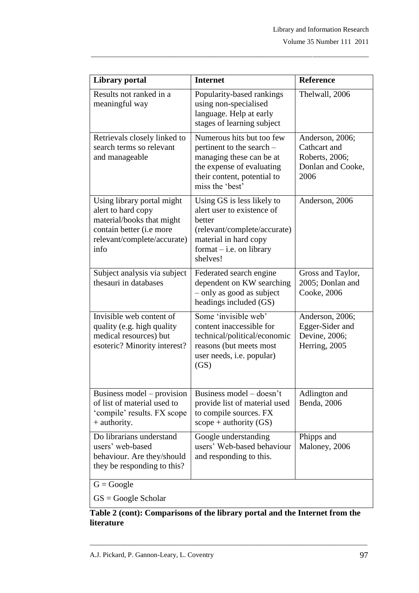| <b>Library portal</b>                                                                                                                                    | <b>Internet</b>                                                                                                                                                       | <b>Reference</b>                                                               |
|----------------------------------------------------------------------------------------------------------------------------------------------------------|-----------------------------------------------------------------------------------------------------------------------------------------------------------------------|--------------------------------------------------------------------------------|
| Results not ranked in a<br>meaningful way                                                                                                                | Popularity-based rankings<br>using non-specialised<br>language. Help at early<br>stages of learning subject                                                           | Thelwall, 2006                                                                 |
| Retrievals closely linked to<br>search terms so relevant<br>and manageable                                                                               | Numerous hits but too few<br>pertinent to the search –<br>managing these can be at<br>the expense of evaluating<br>their content, potential to<br>miss the 'best'     | Anderson, 2006;<br>Cathcart and<br>Roberts, 2006;<br>Donlan and Cooke,<br>2006 |
| Using library portal might<br>alert to hard copy<br>material/books that might<br>contain better ( <i>i.e</i> more<br>relevant/complete/accurate)<br>info | Using GS is less likely to<br>alert user to existence of<br>hetter<br>(relevant/complete/accurate)<br>material in hard copy<br>$format - i.e.$ on library<br>shelves! | Anderson, 2006                                                                 |
| Subject analysis via subject<br>thesauri in databases                                                                                                    | Federated search engine<br>dependent on KW searching<br>$-$ only as good as subject<br>headings included (GS)                                                         | Gross and Taylor,<br>2005; Donlan and<br>Cooke, 2006                           |
| Invisible web content of<br>quality (e.g. high quality<br>medical resources) but<br>esoteric? Minority interest?                                         | Some 'invisible web'<br>content inaccessible for<br>technical/political/economic<br>reasons (but meets most<br>user needs, <i>i.e.</i> popular)<br>(GS)               | Anderson, 2006;<br>Egger-Sider and<br>Devine, 2006;<br>Herring, 2005           |
| Business model – provision<br>of list of material used to<br>'compile' results. FX scope<br>$+$ authority.                                               | Business model – doesn't<br>provide list of material used<br>to compile sources. FX<br>$scope + authority (GS)$                                                       | Adlington and<br>Benda, 2006                                                   |
| Do librarians understand<br>users' web-based<br>behaviour. Are they/should<br>they be responding to this?                                                | Google understanding<br>users' Web-based behaviour<br>and responding to this.                                                                                         | Phipps and<br>Maloney, 2006                                                    |
| $G = Google$                                                                                                                                             |                                                                                                                                                                       |                                                                                |

\_\_\_\_\_\_\_\_\_\_\_\_\_\_\_\_\_\_\_\_\_\_\_\_\_\_\_\_\_\_\_\_\_\_\_\_\_\_\_\_\_\_\_\_\_\_\_\_\_\_\_\_\_\_\_\_\_\_\_\_\_\_\_\_\_\_\_\_\_\_\_\_\_\_\_\_\_\_\_

GS = Google Scholar

**Table 2 (cont): Comparisons of the library portal and the Internet from the literature**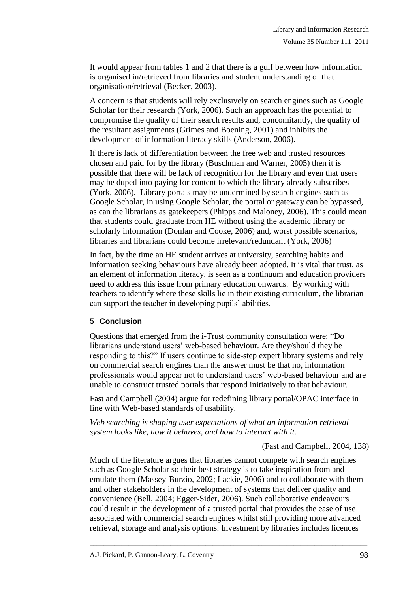It would appear from tables 1 and 2 that there is a gulf between how information is organised in/retrieved from libraries and student understanding of that organisation/retrieval (Becker, 2003).

\_\_\_\_\_\_\_\_\_\_\_\_\_\_\_\_\_\_\_\_\_\_\_\_\_\_\_\_\_\_\_\_\_\_\_\_\_\_\_\_\_\_\_\_\_\_\_\_\_\_\_\_\_\_\_\_\_\_\_\_\_\_\_\_\_\_\_\_\_\_\_\_\_\_\_\_\_\_\_

A concern is that students will rely exclusively on search engines such as Google Scholar for their research (York, 2006). Such an approach has the potential to compromise the quality of their search results and, concomitantly, the quality of the resultant assignments (Grimes and Boening, 2001) and inhibits the development of information literacy skills (Anderson, 2006).

If there is lack of differentiation between the free web and trusted resources chosen and paid for by the library (Buschman and Warner, 2005) then it is possible that there will be lack of recognition for the library and even that users may be duped into paying for content to which the library already subscribes (York, 2006). Library portals may be undermined by search engines such as Google Scholar, in using Google Scholar, the portal or gateway can be bypassed, as can the librarians as gatekeepers (Phipps and Maloney, 2006). This could mean that students could graduate from HE without using the academic library or scholarly information (Donlan and Cooke, 2006) and, worst possible scenarios, libraries and librarians could become irrelevant/redundant (York, 2006)

In fact, by the time an HE student arrives at university, searching habits and information seeking behaviours have already been adopted. It is vital that trust, as an element of information literacy, is seen as a continuum and education providers need to address this issue from primary education onwards. By working with teachers to identify where these skills lie in their existing curriculum, the librarian can support the teacher in developing pupils' abilities.

## **5 Conclusion**

Questions that emerged from the i-Trust community consultation were; "Do librarians understand users" web-based behaviour. Are they/should they be responding to this?" If users continue to side-step expert library systems and rely on commercial search engines than the answer must be that no, information professionals would appear not to understand users" web-based behaviour and are unable to construct trusted portals that respond initiatively to that behaviour.

Fast and Campbell (2004) argue for redefining library portal/OPAC interface in line with Web-based standards of usability.

*Web searching is shaping user expectations of what an information retrieval system looks like, how it behaves, and how to interact with it.*

(Fast and Campbell, 2004, 138)

Much of the literature argues that libraries cannot compete with search engines such as Google Scholar so their best strategy is to take inspiration from and emulate them (Massey-Burzio, 2002; Lackie, 2006) and to collaborate with them and other stakeholders in the development of systems that deliver quality and convenience (Bell, 2004; Egger-Sider, 2006). Such collaborative endeavours could result in the development of a trusted portal that provides the ease of use associated with commercial search engines whilst still providing more advanced retrieval, storage and analysis options. Investment by libraries includes licences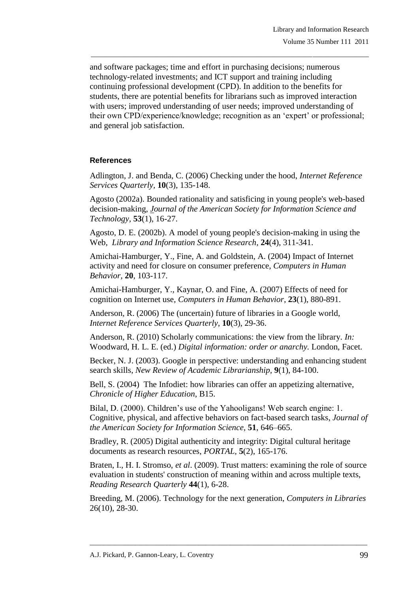and software packages; time and effort in purchasing decisions; numerous technology-related investments; and ICT support and training including continuing professional development (CPD). In addition to the benefits for students, there are potential benefits for librarians such as improved interaction with users; improved understanding of user needs; improved understanding of their own CPD/experience/knowledge; recognition as an "expert" or professional; and general job satisfaction.

\_\_\_\_\_\_\_\_\_\_\_\_\_\_\_\_\_\_\_\_\_\_\_\_\_\_\_\_\_\_\_\_\_\_\_\_\_\_\_\_\_\_\_\_\_\_\_\_\_\_\_\_\_\_\_\_\_\_\_\_\_\_\_\_\_\_\_\_\_\_\_\_\_\_\_\_\_\_\_

## **References**

Adlington, J. and Benda, C. (2006) Checking under the hood, *Internet Reference Services Quarterly,* **10**(3), 135-148.

Agosto (2002a). Bounded rationality and satisficing in young people's web-based decision-making, *Journal of the American Society for Information Science and Technology,* **53**(1), 16-27.

Agosto, D. E. (2002b). A model of young people's decision-making in using the Web, *Library and Information Science Research,* **24**(4), 311-341.

Amichai-Hamburger, Y., Fine, A. and Goldstein, A. (2004) Impact of Internet activity and need for closure on consumer preference, *Computers in Human Behavior,* **20**, 103-117.

Amichai-Hamburger, Y., Kaynar, O. and Fine, A. (2007) Effects of need for cognition on Internet use, *Computers in Human Behavior*, **23**(1), 880-891.

Anderson, R. (2006) The (uncertain) future of libraries in a Google world, *Internet Reference Services Quarterly*, **10**(3), 29-36.

Anderson, R. (2010) Scholarly communications: the view from the library. *In:* Woodward, H. L. E. (ed.) *Digital information: order or anarchy.* London, Facet.

Becker, N. J. (2003). Google in perspective: understanding and enhancing student search skills, *New Review of Academic Librarianship,* **9**(1), 84-100.

Bell, S. (2004) The Infodiet: how libraries can offer an appetizing alternative, *Chronicle of Higher Education*, B15.

Bilal, D. (2000). Children"s use of the Yahooligans! Web search engine: 1. Cognitive, physical, and affective behaviors on fact-based search tasks, *Journal of the American Society for Information Science,* **51**, 646–665.

Bradley, R. (2005) Digital authenticity and integrity: Digital cultural heritage documents as research resources, *PORTAL,* **5**(2), 165-176.

Braten, I., H. I. Stromso, *et al*. (2009). Trust matters: examining the role of source evaluation in students' construction of meaning within and across multiple texts, *Reading Research Quarterly* **44**(1), 6-28.

Breeding, M. (2006). Technology for the next generation, *Computers in Libraries*  26(10), 28-30.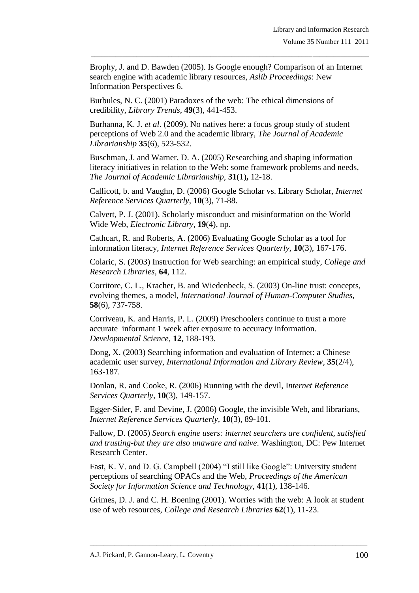Brophy, J. and D. Bawden (2005). Is Google enough? Comparison of an Internet search engine with academic library resources, *Aslib Proceedings*: New Information Perspectives 6.

\_\_\_\_\_\_\_\_\_\_\_\_\_\_\_\_\_\_\_\_\_\_\_\_\_\_\_\_\_\_\_\_\_\_\_\_\_\_\_\_\_\_\_\_\_\_\_\_\_\_\_\_\_\_\_\_\_\_\_\_\_\_\_\_\_\_\_\_\_\_\_\_\_\_\_\_\_\_\_

Burbules, N. C. (2001) Paradoxes of the web: The ethical dimensions of credibility, *Library Trends,* **49**(3), 441-453.

Burhanna, K. J. *et al*. (2009). No natives here: a focus group study of student perceptions of Web 2.0 and the academic library, *The Journal of Academic Librarianship* **35**(6), 523-532.

Buschman, J. and Warner, D. A. (2005) Researching and shaping information literacy initiatives in relation to the Web: some framework problems and needs, *The Journal of Academic Librarianship,* **31**(1)**,** 12-18.

Callicott, b. and Vaughn, D. (2006) Google Scholar vs. Library Scholar, *Internet Reference Services Quarterly*, **10**(3), 71-88.

Calvert, P. J. (2001). Scholarly misconduct and misinformation on the World Wide Web, *Electronic Library,* **19**(4), np.

Cathcart, R. and Roberts, A. (2006) Evaluating Google Scholar as a tool for information literacy, *Internet Reference Services Quarterly,* **10**(3), 167-176.

Colaric, S. (2003) Instruction for Web searching: an empirical study, *College and Research Libraries,* **64**, 112.

Corritore, C. L., Kracher, B. and Wiedenbeck, S. (2003) On-line trust: concepts, evolving themes, a model, *International Journal of Human-Computer Studies*, **58**(6), 737-758.

Corriveau, K. and Harris, P. L. (2009) Preschoolers continue to trust a more accurate informant 1 week after exposure to accuracy information. *Developmental Science,* **12***,* 188-193*.*

Dong, X. (2003) Searching information and evaluation of Internet: a Chinese academic user survey, *International Information and Library Review*, **35**(2/4), 163-187.

Donlan, R. and Cooke, R. (2006) Running with the devil, I*nternet Reference Services Quarterly,* **10**(3), 149-157.

Egger-Sider, F. and Devine, J. (2006) Google, the invisible Web, and librarians, *Internet Reference Services Quarterly,* **10**(3), 89-101.

Fallow, D. (2005) *Search engine users: internet searchers are confident, satisfied and trusting-but they are also unaware and naive*. Washington, DC: Pew Internet Research Center.

Fast, K. V. and D. G. Campbell (2004) "I still like Google": University student perceptions of searching OPACs and the Web, *Proceedings of the American Society for Information Science and Technology*, **41**(1), 138-146.

Grimes, D. J. and C. H. Boening (2001). Worries with the web: A look at student use of web resources, *College and Research Libraries* **62**(1), 11-23.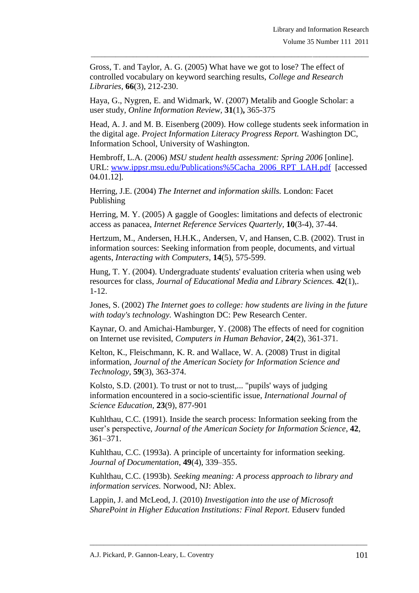Gross, T. and Taylor, A. G. (2005) What have we got to lose? The effect of controlled vocabulary on keyword searching results, *College and Research Libraries*, **66**(3), 212-230.

Haya, G., Nygren, E. and Widmark, W. (2007) Metalib and Google Scholar: a user study, *Online Information Review,* **31**(1)**,** 365-375

Head, A. J. and M. B. Eisenberg (2009). How college students seek information in the digital age. *Project Information Literacy Progress Report.* Washington DC, Information School, University of Washington.

\_\_\_\_\_\_\_\_\_\_\_\_\_\_\_\_\_\_\_\_\_\_\_\_\_\_\_\_\_\_\_\_\_\_\_\_\_\_\_\_\_\_\_\_\_\_\_\_\_\_\_\_\_\_\_\_\_\_\_\_\_\_\_\_\_\_\_\_\_\_\_\_\_\_\_\_\_\_\_

Hembroff, L.A. (2006) *MSU student health assessment: Spring 2006* [online]. URL: [www.ippsr.msu.edu/Publications%5Cacha\\_2006\\_RPT\\_LAH.pdf](http://www.ippsr.msu.edu/Publications%5Cacha_2006_RPT_LAH.pdf) [accessed 04.01.12].

Herring, J.E. (2004) *The Internet and information skills.* London: Facet Publishing

Herring, M. Y. (2005) A gaggle of Googles: limitations and defects of electronic access as panacea, *Internet Reference Services Quarterly,* **10**(3-4), 37-44.

Hertzum, M., Andersen, H.H.K., Andersen, V, and Hansen, C.B. (2002). Trust in information sources: Seeking information from people, documents, and virtual agents, *Interacting with Computers,* **14**(5), 575-599.

Hung, T. Y. (2004). Undergraduate students' evaluation criteria when using web resources for class, *Journal of Educational Media and Library Sciences.* **42**(1),. 1-12.

Jones, S. (2002) *The Internet goes to college: how students are living in the future with today's technology.* Washington DC: Pew Research Center.

Kaynar, O. and Amichai-Hamburger, Y. (2008) The effects of need for cognition on Internet use revisited, *Computers in Human Behavior,* **24**(2), 361-371.

Kelton, K., Fleischmann, K. R. and Wallace, W. A. (2008) Trust in digital information, *Journal of the American Society for Information Science and Technology,* **59**(3), 363-374.

Kolsto, S.D. (2001). To trust or not to trust,... "pupils' ways of judging information encountered in a socio-scientific issue, *International Journal of Science Education,* **23**(9), 877-901

Kuhlthau, C.C. (1991). Inside the search process: Information seeking from the user"s perspective, *Journal of the American Society for Information Science*, **42**, 361–371.

Kuhlthau, C.C. (1993a). A principle of uncertainty for information seeking. *Journal of Documentation*, **49**(4), 339–355.

Kuhlthau, C.C. (1993b). *Seeking meaning: A process approach to library and information services.* Norwood, NJ: Ablex.

Lappin, J. and McLeod, J. (2010) *Investigation into the use of Microsoft SharePoint in Higher Education Institutions: Final Report.* Eduserv funded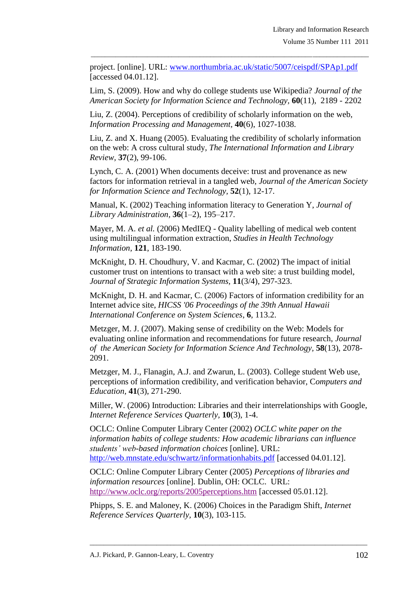project. [online]. URL: [www.northumbria.ac.uk/static/5007/ceispdf/SPAp1.pdf](http://www.northumbria.ac.uk/static/5007/ceispdf/SPAp1.pdf) [accessed 04.01.12].

\_\_\_\_\_\_\_\_\_\_\_\_\_\_\_\_\_\_\_\_\_\_\_\_\_\_\_\_\_\_\_\_\_\_\_\_\_\_\_\_\_\_\_\_\_\_\_\_\_\_\_\_\_\_\_\_\_\_\_\_\_\_\_\_\_\_\_\_\_\_\_\_\_\_\_\_\_\_\_

Lim, S. (2009). How and why do college students use Wikipedia? *Journal of the American Society for Information Science and Technology,* **60**(11), 2189 - 2202

Liu, Z. (2004). Perceptions of credibility of scholarly information on the web, *Information Processing and Management,* **40**(6), 1027-1038.

Liu, Z. and X. Huang (2005). Evaluating the credibility of scholarly information on the web: A cross cultural study, *The International Information and Library Review,* **37**(2), 99-106.

Lynch, C. A. (2001) When documents deceive: trust and provenance as new factors for information retrieval in a tangled web, *Journal of the American Society for Information Science and Technology,* **52**(1), 12-17.

Manual, K. (2002) Teaching information literacy to Generation Y, *Journal of Library Administration,* **36**(1–2), 195–217.

Mayer, M. A. *et al.* (2006) MedIEQ - Quality labelling of medical web content using multilingual information extraction, *Studies in Health Technology Information*, **121**, 183-190.

McKnight, D. H. Choudhury, V. and Kacmar, C. (2002) The impact of initial customer trust on intentions to transact with a web site: a trust building model, *Journal of Strategic Information Systems,* **11**(3/4), 297-323.

McKnight, D. H. and Kacmar, C. (2006) Factors of information credibility for an Internet advice site, *HICSS '06 Proceedings of the 39th Annual Hawaii International Conference on System Sciences*, **6**, 113.2.

Metzger, M. J. (2007). Making sense of credibility on the Web: Models for evaluating online information and recommendations for future research, *Journal of the American Society for Information Science And Technology,* **58**(13), 2078- 2091.

Metzger, M. J., Flanagin, A.J. and Zwarun, L. (2003). College student Web use, perceptions of information credibility, and verification behavior, C*omputers and Education,* **41**(3), 271-290.

Miller, W. (2006) Introduction: Libraries and their interrelationships with Google, *Internet Reference Services Quarterly,* **10**(3), 1-4.

OCLC: Online Computer Library Center (2002) *OCLC white paper on the information habits of college students: How academic librarians can influence students' web-based information choices* [online]. URL: <http://web.mnstate.edu/schwartz/informationhabits.pdf> [accessed 04.01.12].

OCLC: Online Computer Library Center (2005) *Perceptions of libraries and information resources* [online]*.* Dublin, OH: OCLC. URL: [http://www.oclc.org/reports/2005perceptions.htm](http://www.sciencedirect.com/science?_ob=RedirectURL&_method=externObjLink&_locator=url&_cdi=6554&_issn=10967516&_originPage=article&_zone=art_page&_plusSign=%2B&_targetURL=http%253A%252F%252Fwww.oclc.org%252Freports%252F2005perceptions.htm) [accessed 05.01.12].

Phipps, S. E. and Maloney, K. (2006) Choices in the Paradigm Shift, *Internet Reference Services Quarterly,* **10**(3), 103-115.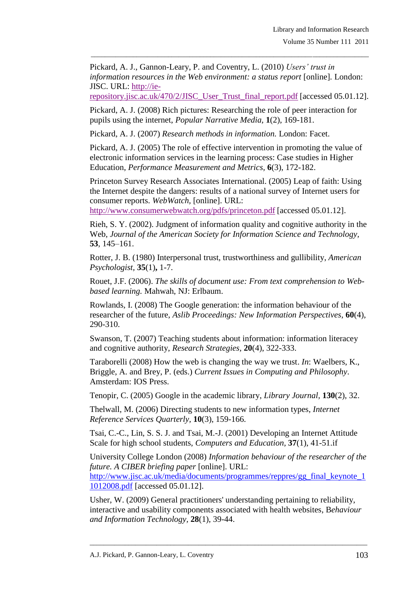Pickard, A. J., Gannon-Leary, P. and Coventry, L. (2010) *Users' trust in information resources in the Web environment: a status report* [online]*.* London: JISC. URL: [http://ie-](http://ie-repository.jisc.ac.uk/470/2/JISC_User_Trust_final_report.pdf)

\_\_\_\_\_\_\_\_\_\_\_\_\_\_\_\_\_\_\_\_\_\_\_\_\_\_\_\_\_\_\_\_\_\_\_\_\_\_\_\_\_\_\_\_\_\_\_\_\_\_\_\_\_\_\_\_\_\_\_\_\_\_\_\_\_\_\_\_\_\_\_\_\_\_\_\_\_\_\_

[repository.jisc.ac.uk/470/2/JISC\\_User\\_Trust\\_final\\_report.pdf](http://ie-repository.jisc.ac.uk/470/2/JISC_User_Trust_final_report.pdf) [accessed 05.01.12].

Pickard, A. J. (2008) Rich pictures: Researching the role of peer interaction for pupils using the internet, *Popular Narrative Media,* **1**(2), 169-181.

Pickard, A. J. (2007) *Research methods in information.* London: Facet.

Pickard, A. J. (2005) The role of effective intervention in promoting the value of electronic information services in the learning process: Case studies in Higher Education, *Performance Measurement and Metrics,* **6**(3), 172-182.

Princeton Survey Research Associates International. (2005) Leap of faith: Using the Internet despite the dangers: results of a national survey of Internet users for consumer reports. *WebWatch,* [online]. URL:

<http://www.consumerwebwatch.org/pdfs/princeton.pdf> [accessed 05.01.12].

Rieh, S. Y. (2002). Judgment of information quality and cognitive authority in the Web, *Journal of the American Society for Information Science and Technology,* **53**, 145–161.

Rotter, J. B. (1980) Interpersonal trust, trustworthiness and gullibility, *American Psychologist,* **35**(1)**,** 1-7.

Rouet, J.F. (2006). *The skills of document use: From text comprehension to Webbased learning.* Mahwah, NJ: Erlbaum.

Rowlands, I. (2008) The Google generation: the information behaviour of the researcher of the future, *Aslib Proceedings: New Information Perspectives*, **60**(4), 290-310.

Swanson, T. (2007) Teaching students about information: information literacey and cognitive authority, *Research Strategies,* **20**(4), 322-333.

Taraborelli (2008) How the web is changing the way we trust. *In*: Waelbers, K., Briggle, A. and Brey, P. (eds.) *Current Issues in Computing and Philosophy*. Amsterdam: IOS Press.

Tenopir, C. (2005) Google in the academic library, *Library Journal,* **130**(2), 32.

Thelwall, M. (2006) Directing students to new information types, *Internet Reference Services Quarterly,* **10**(3), 159-166.

Tsai, C.-C., Lin, S. S. J. and Tsai, M.-J. (2001) Developing an Internet Attitude Scale for high school students, *Computers and Education,* **37**(1), 41-51.if

University College London (2008) *Information behaviour of the researcher of the future. A CIBER briefing paper* [online]. URL: [http://www.jisc.ac.uk/media/documents/programmes/reppres/gg\\_final\\_keynote\\_1](http://www.jisc.ac.uk/media/documents/programmes/reppres/gg_final_keynote_11012008.pdf) [1012008.pdf](http://www.jisc.ac.uk/media/documents/programmes/reppres/gg_final_keynote_11012008.pdf) [accessed 05.01.12].

Usher, W. (2009) General practitioners' understanding pertaining to reliability, interactive and usability components associated with health websites, B*ehaviour and Information Technology,* **28**(1), 39-44.